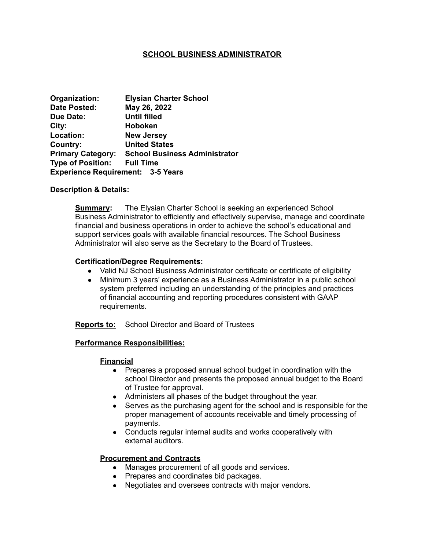## **SCHOOL BUSINESS ADMINISTRATOR**

| Organization:                            | <b>Elysian Charter School</b>        |
|------------------------------------------|--------------------------------------|
| <b>Date Posted:</b>                      | May 26, 2022                         |
| <b>Due Date:</b>                         | <b>Until filled</b>                  |
| City:                                    | <b>Hoboken</b>                       |
| Location:                                | <b>New Jersey</b>                    |
| Country:                                 | <b>United States</b>                 |
| <b>Primary Category:</b>                 | <b>School Business Administrator</b> |
| <b>Type of Position:</b>                 | <b>Full Time</b>                     |
| <b>Experience Requirement: 3-5 Years</b> |                                      |

#### **Description & Details:**

**Summary:** The Elysian Charter School is seeking an experienced School Business Administrator to efficiently and effectively supervise, manage and coordinate financial and business operations in order to achieve the school's educational and support services goals with available financial resources. The School Business Administrator will also serve as the Secretary to the Board of Trustees.

#### **Certification/Degree Requirements:**

- Valid NJ School Business Administrator certificate or certificate of eligibility
- Minimum 3 years' experience as a Business Administrator in a public school system preferred including an understanding of the principles and practices of financial accounting and reporting procedures consistent with GAAP requirements.

**Reports to:** School Director and Board of Trustees

#### **Performance Responsibilities:**

#### **Financial**

- Prepares a proposed annual school budget in coordination with the school Director and presents the proposed annual budget to the Board of Trustee for approval.
- Administers all phases of the budget throughout the year.
- Serves as the purchasing agent for the school and is responsible for the proper management of accounts receivable and timely processing of payments.
- Conducts regular internal audits and works cooperatively with external auditors.

## **Procurement and Contracts**

- Manages procurement of all goods and services.
- Prepares and coordinates bid packages.
- Negotiates and oversees contracts with major vendors.